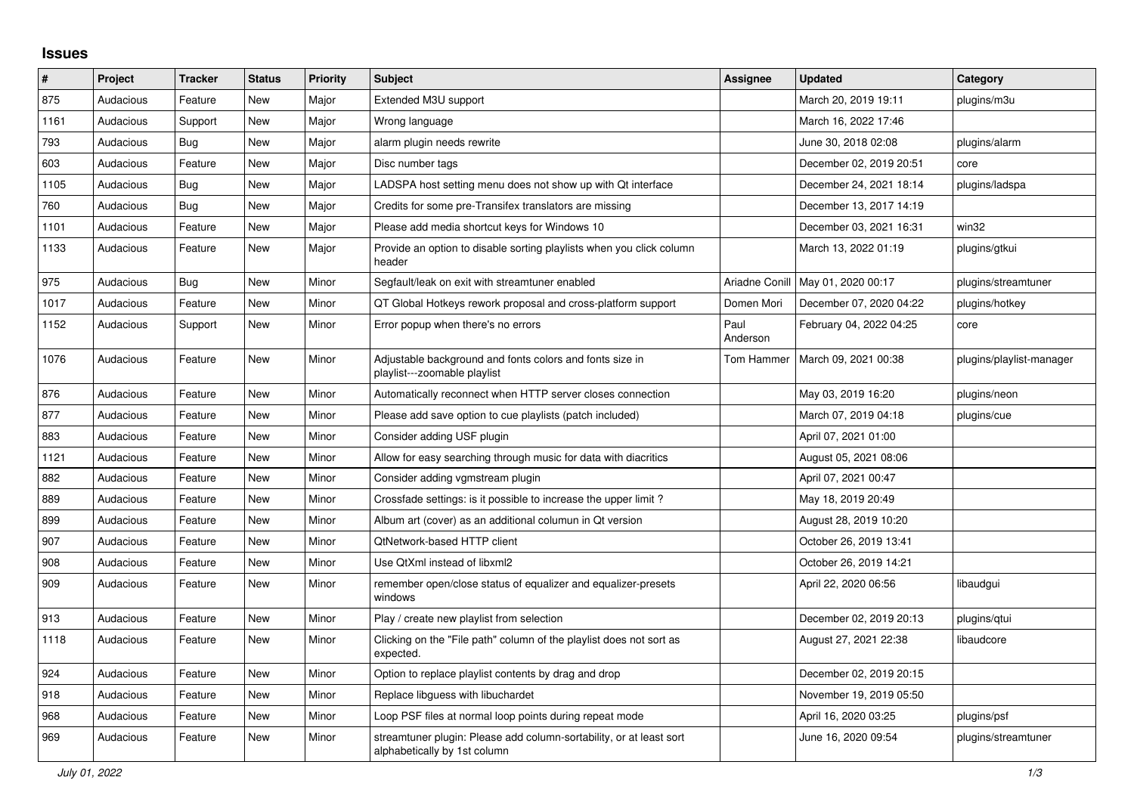## **Issues**

| ∦    | Project   | <b>Tracker</b> | <b>Status</b> | <b>Priority</b> | <b>Subject</b>                                                                                      | Assignee         | <b>Updated</b>                      | Category                 |
|------|-----------|----------------|---------------|-----------------|-----------------------------------------------------------------------------------------------------|------------------|-------------------------------------|--------------------------|
| 875  | Audacious | Feature        | <b>New</b>    | Major           | Extended M3U support                                                                                |                  | March 20, 2019 19:11                | plugins/m3u              |
| 1161 | Audacious | Support        | <b>New</b>    | Major           | Wrong language                                                                                      |                  | March 16, 2022 17:46                |                          |
| 793  | Audacious | Bug            | New           | Major           | alarm plugin needs rewrite                                                                          |                  | June 30, 2018 02:08                 | plugins/alarm            |
| 603  | Audacious | Feature        | <b>New</b>    | Major           | Disc number tags                                                                                    |                  | December 02, 2019 20:51             | core                     |
| 1105 | Audacious | Bug            | <b>New</b>    | Major           | LADSPA host setting menu does not show up with Qt interface                                         |                  | December 24, 2021 18:14             | plugins/ladspa           |
| 760  | Audacious | <b>Bug</b>     | <b>New</b>    | Major           | Credits for some pre-Transifex translators are missing                                              |                  | December 13, 2017 14:19             |                          |
| 1101 | Audacious | Feature        | <b>New</b>    | Major           | Please add media shortcut keys for Windows 10                                                       |                  | December 03, 2021 16:31             | win32                    |
| 1133 | Audacious | Feature        | New           | Major           | Provide an option to disable sorting playlists when you click column<br>header                      |                  | March 13, 2022 01:19                | plugins/gtkui            |
| 975  | Audacious | Bug            | <b>New</b>    | Minor           | Segfault/leak on exit with streamtuner enabled                                                      |                  | Ariadne Conill   May 01, 2020 00:17 | plugins/streamtuner      |
| 1017 | Audacious | Feature        | <b>New</b>    | Minor           | QT Global Hotkeys rework proposal and cross-platform support                                        | Domen Mori       | December 07, 2020 04:22             | plugins/hotkey           |
| 1152 | Audacious | Support        | <b>New</b>    | Minor           | Error popup when there's no errors                                                                  | Paul<br>Anderson | February 04, 2022 04:25             | core                     |
| 1076 | Audacious | Feature        | New           | Minor           | Adjustable background and fonts colors and fonts size in<br>playlist---zoomable playlist            | Tom Hammer       | March 09, 2021 00:38                | plugins/playlist-manager |
| 876  | Audacious | Feature        | <b>New</b>    | Minor           | Automatically reconnect when HTTP server closes connection                                          |                  | May 03, 2019 16:20                  | plugins/neon             |
| 877  | Audacious | Feature        | <b>New</b>    | Minor           | Please add save option to cue playlists (patch included)                                            |                  | March 07, 2019 04:18                | plugins/cue              |
| 883  | Audacious | Feature        | New           | Minor           | Consider adding USF plugin                                                                          |                  | April 07, 2021 01:00                |                          |
| 1121 | Audacious | Feature        | New           | Minor           | Allow for easy searching through music for data with diacritics                                     |                  | August 05, 2021 08:06               |                          |
| 882  | Audacious | Feature        | <b>New</b>    | Minor           | Consider adding vgmstream plugin                                                                    |                  | April 07, 2021 00:47                |                          |
| 889  | Audacious | Feature        | <b>New</b>    | Minor           | Crossfade settings: is it possible to increase the upper limit?                                     |                  | May 18, 2019 20:49                  |                          |
| 899  | Audacious | Feature        | <b>New</b>    | Minor           | Album art (cover) as an additional columun in Qt version                                            |                  | August 28, 2019 10:20               |                          |
| 907  | Audacious | Feature        | <b>New</b>    | Minor           | QtNetwork-based HTTP client                                                                         |                  | October 26, 2019 13:41              |                          |
| 908  | Audacious | Feature        | <b>New</b>    | Minor           | Use QtXml instead of libxml2                                                                        |                  | October 26, 2019 14:21              |                          |
| 909  | Audacious | Feature        | <b>New</b>    | Minor           | remember open/close status of equalizer and equalizer-presets<br>windows                            |                  | April 22, 2020 06:56                | libaudgui                |
| 913  | Audacious | Feature        | <b>New</b>    | Minor           | Play / create new playlist from selection                                                           |                  | December 02, 2019 20:13             | plugins/gtui             |
| 1118 | Audacious | Feature        | <b>New</b>    | Minor           | Clicking on the "File path" column of the playlist does not sort as<br>expected.                    |                  | August 27, 2021 22:38               | libaudcore               |
| 924  | Audacious | Feature        | <b>New</b>    | Minor           | Option to replace playlist contents by drag and drop                                                |                  | December 02, 2019 20:15             |                          |
| 918  | Audacious | Feature        | New           | Minor           | Replace libguess with libuchardet                                                                   |                  | November 19, 2019 05:50             |                          |
| 968  | Audacious | Feature        | New           | Minor           | Loop PSF files at normal loop points during repeat mode                                             |                  | April 16, 2020 03:25                | plugins/psf              |
| 969  | Audacious | Feature        | <b>New</b>    | Minor           | streamtuner plugin: Please add column-sortability, or at least sort<br>alphabetically by 1st column |                  | June 16, 2020 09:54                 | plugins/streamtuner      |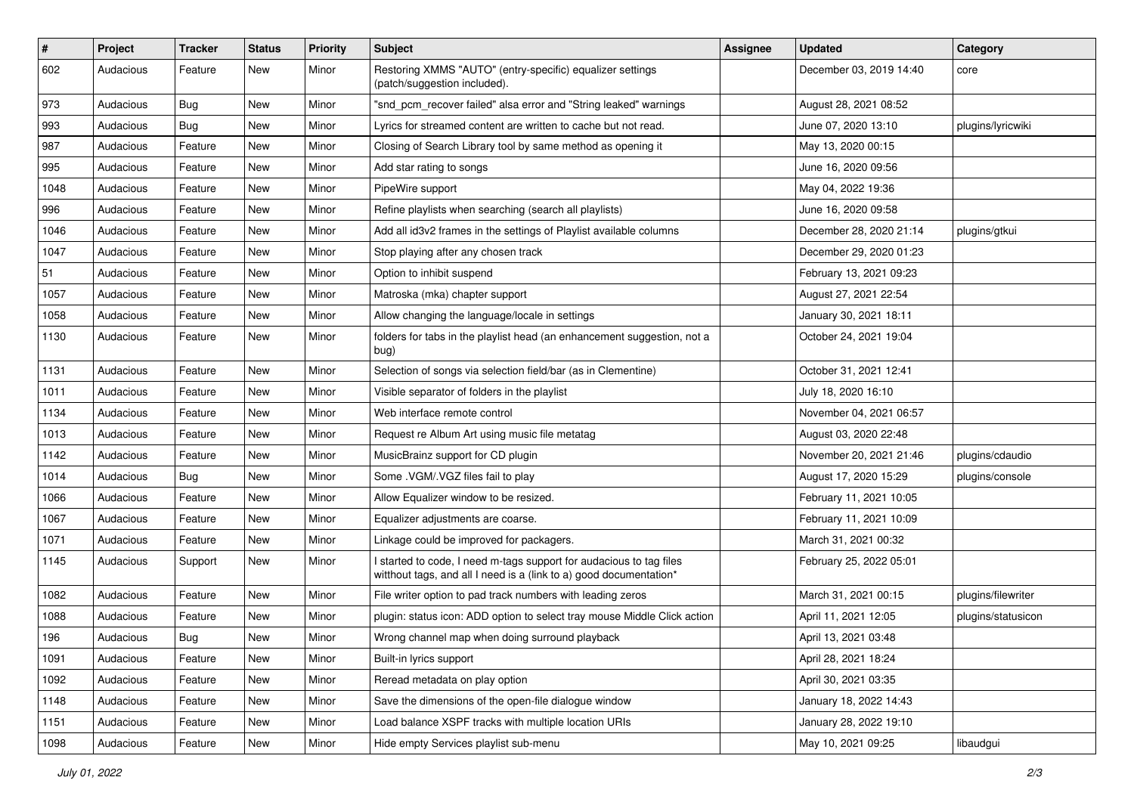| $\#$ | Project   | <b>Tracker</b> | <b>Status</b> | <b>Priority</b> | Subject                                                                                                                                   | <b>Assignee</b> | <b>Updated</b>          | Category           |
|------|-----------|----------------|---------------|-----------------|-------------------------------------------------------------------------------------------------------------------------------------------|-----------------|-------------------------|--------------------|
| 602  | Audacious | Feature        | New           | Minor           | Restoring XMMS "AUTO" (entry-specific) equalizer settings<br>(patch/suggestion included).                                                 |                 | December 03, 2019 14:40 | core               |
| 973  | Audacious | Bug            | New           | Minor           | "snd pcm recover failed" alsa error and "String leaked" warnings                                                                          |                 | August 28, 2021 08:52   |                    |
| 993  | Audacious | Bug            | New           | Minor           | Lyrics for streamed content are written to cache but not read.                                                                            |                 | June 07, 2020 13:10     | plugins/lyricwiki  |
| 987  | Audacious | Feature        | New           | Minor           | Closing of Search Library tool by same method as opening it                                                                               |                 | May 13, 2020 00:15      |                    |
| 995  | Audacious | Feature        | New           | Minor           | Add star rating to songs                                                                                                                  |                 | June 16, 2020 09:56     |                    |
| 1048 | Audacious | Feature        | New           | Minor           | PipeWire support                                                                                                                          |                 | May 04, 2022 19:36      |                    |
| 996  | Audacious | Feature        | New           | Minor           | Refine playlists when searching (search all playlists)                                                                                    |                 | June 16, 2020 09:58     |                    |
| 1046 | Audacious | Feature        | New           | Minor           | Add all id3v2 frames in the settings of Playlist available columns                                                                        |                 | December 28, 2020 21:14 | plugins/gtkui      |
| 1047 | Audacious | Feature        | <b>New</b>    | Minor           | Stop playing after any chosen track                                                                                                       |                 | December 29, 2020 01:23 |                    |
| 51   | Audacious | Feature        | New           | Minor           | Option to inhibit suspend                                                                                                                 |                 | February 13, 2021 09:23 |                    |
| 1057 | Audacious | Feature        | New           | Minor           | Matroska (mka) chapter support                                                                                                            |                 | August 27, 2021 22:54   |                    |
| 1058 | Audacious | Feature        | New           | Minor           | Allow changing the language/locale in settings                                                                                            |                 | January 30, 2021 18:11  |                    |
| 1130 | Audacious | Feature        | New           | Minor           | folders for tabs in the playlist head (an enhancement suggestion, not a<br>bug)                                                           |                 | October 24, 2021 19:04  |                    |
| 1131 | Audacious | Feature        | New           | Minor           | Selection of songs via selection field/bar (as in Clementine)                                                                             |                 | October 31, 2021 12:41  |                    |
| 1011 | Audacious | Feature        | New           | Minor           | Visible separator of folders in the playlist                                                                                              |                 | July 18, 2020 16:10     |                    |
| 1134 | Audacious | Feature        | New           | Minor           | Web interface remote control                                                                                                              |                 | November 04, 2021 06:57 |                    |
| 1013 | Audacious | Feature        | New           | Minor           | Request re Album Art using music file metatag                                                                                             |                 | August 03, 2020 22:48   |                    |
| 1142 | Audacious | Feature        | New           | Minor           | MusicBrainz support for CD plugin                                                                                                         |                 | November 20, 2021 21:46 | plugins/cdaudio    |
| 1014 | Audacious | Bug            | New           | Minor           | Some .VGM/.VGZ files fail to play                                                                                                         |                 | August 17, 2020 15:29   | plugins/console    |
| 1066 | Audacious | Feature        | New           | Minor           | Allow Equalizer window to be resized.                                                                                                     |                 | February 11, 2021 10:05 |                    |
| 1067 | Audacious | Feature        | New           | Minor           | Equalizer adjustments are coarse.                                                                                                         |                 | February 11, 2021 10:09 |                    |
| 1071 | Audacious | Feature        | New           | Minor           | Linkage could be improved for packagers.                                                                                                  |                 | March 31, 2021 00:32    |                    |
| 1145 | Audacious | Support        | New           | Minor           | I started to code, I need m-tags support for audacious to tag files<br>witthout tags, and all I need is a (link to a) good documentation* |                 | February 25, 2022 05:01 |                    |
| 1082 | Audacious | Feature        | New           | Minor           | File writer option to pad track numbers with leading zeros                                                                                |                 | March 31, 2021 00:15    | plugins/filewriter |
| 1088 | Audacious | Feature        | New           | Minor           | plugin: status icon: ADD option to select tray mouse Middle Click action                                                                  |                 | April 11, 2021 12:05    | plugins/statusicon |
| 196  | Audacious | Bug            | New           | Minor           | Wrong channel map when doing surround playback                                                                                            |                 | April 13, 2021 03:48    |                    |
| 1091 | Audacious | Feature        | New           | Minor           | Built-in lyrics support                                                                                                                   |                 | April 28, 2021 18:24    |                    |
| 1092 | Audacious | Feature        | New           | Minor           | Reread metadata on play option                                                                                                            |                 | April 30, 2021 03:35    |                    |
| 1148 | Audacious | Feature        | New           | Minor           | Save the dimensions of the open-file dialogue window                                                                                      |                 | January 18, 2022 14:43  |                    |
| 1151 | Audacious | Feature        | New           | Minor           | Load balance XSPF tracks with multiple location URIs                                                                                      |                 | January 28, 2022 19:10  |                    |
| 1098 | Audacious | Feature        | New           | Minor           | Hide empty Services playlist sub-menu                                                                                                     |                 | May 10, 2021 09:25      | libaudgui          |